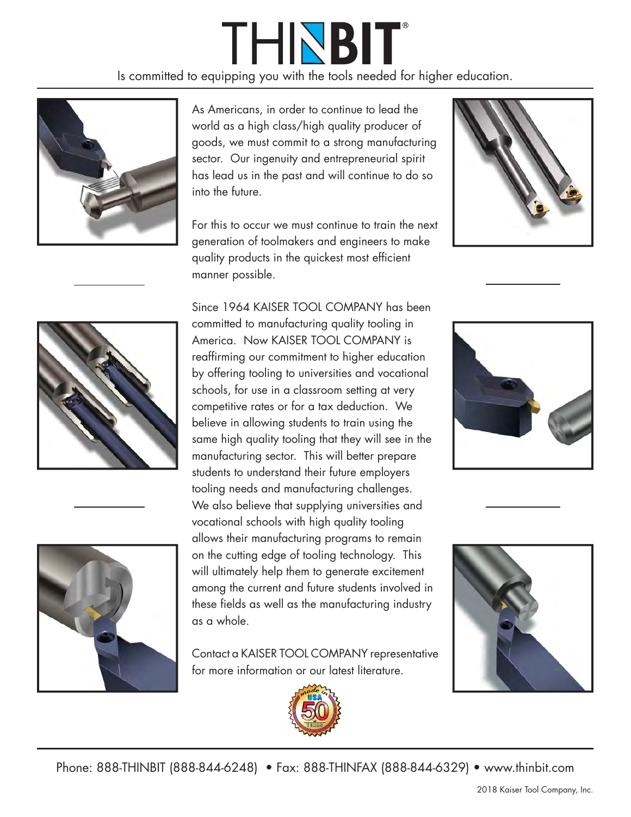## THINBIT®

Is committed to equipping you with the tools needed for higher education.



As Americans, in order to continue to lead the world as a high class/high quality producer of goods, we must commit to a strong manufacturing sector. Our ingenuity and entrepreneurial spirit has lead us in the past and will continue to do so into the future.

For this to occur we must continue to train the next generation of toolmakers and engineers to make quality products in the quickest most efficient manner possible.







Since 1964 KAISER TOOL COMPANY has been committed to manufacturing quality tooling in America. Now KAISER TOOL COMPANY is reaffirming our commitment to higher education by offering tooling to universities and vocational schools, for use in a classroom setting at very competitive rates or for a tax deduction. We believe in allowing students to train using the same high quality tooling that they will see in the manufacturing sector. This will better prepare students to understand their future employers tooling needs and manufacturing challenges. We also believe that supplying universities and vocational schools with high quality tooling allows their manufacturing programs to remain on the cutting edge of tooling technology. This will ultimately help them to generate excitement among the current and future students involved in these fields as well as the manufacturing industry as a whole.

Contact a KAISER TOOL COMPANY representative for more information or our latest literature.







Phone: 888-THINBIT (888-844-6248) • Fax: 888-THINFAX (888-844-6329) • www.thinbit.com